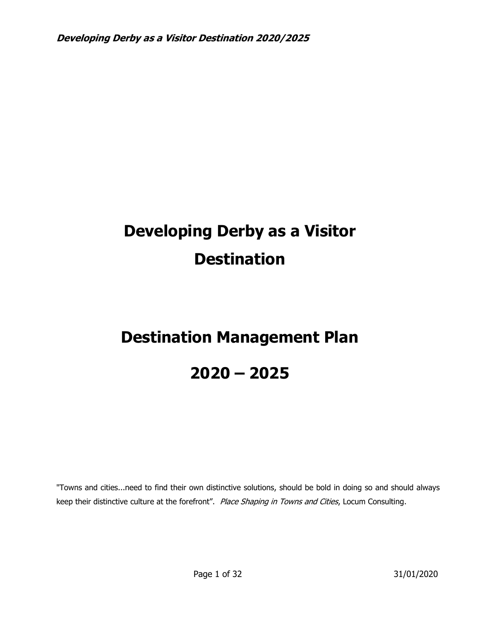# **Developing Derby as a Visitor Destination**

# **Destination Management Plan**

# **2020 – 2025**

"Towns and cities...need to find their own distinctive solutions, should be bold in doing so and should always keep their distinctive culture at the forefront". Place Shaping in Towns and Cities, Locum Consulting.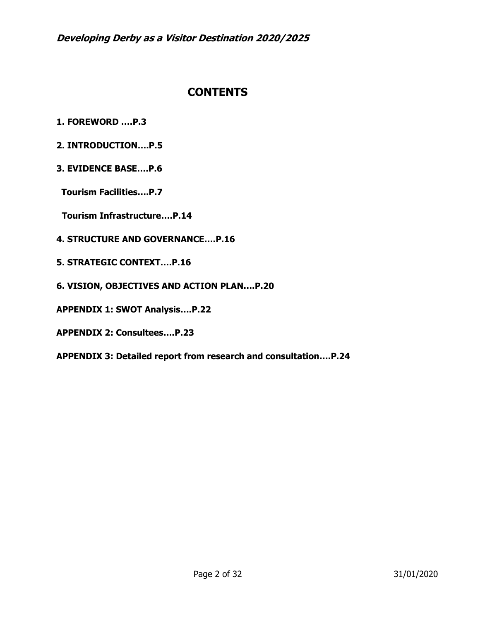# **CONTENTS**

- **1. FOREWORD ….P.3**
- **2. INTRODUCTION….P.5**
- **3. EVIDENCE BASE….P.6**
- **Tourism Facilities….P.7**
- **Tourism Infrastructure….P.14**
- **4. STRUCTURE AND GOVERNANCE….P.16**
- **5. STRATEGIC CONTEXT….P.16**
- **6. VISION, OBJECTIVES AND ACTION PLAN….P.20**
- **APPENDIX 1: SWOT Analysis….P.22**
- **APPENDIX 2: Consultees….P.23**

**APPENDIX 3: Detailed report from research and consultation….P.24**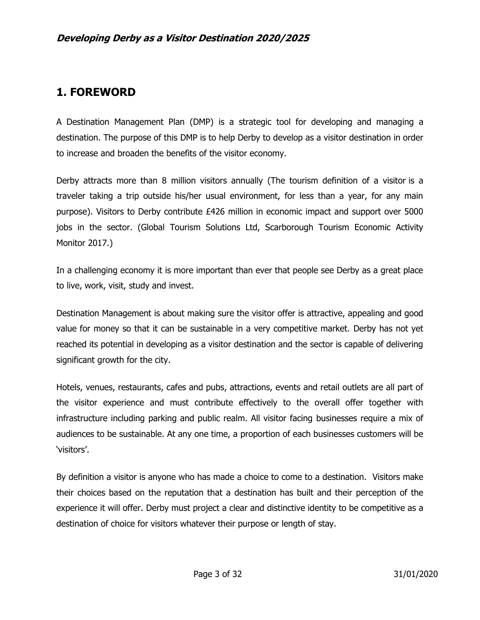# **1. FOREWORD**

A Destination Management Plan (DMP) is a strategic tool for developing and managing a destination. The purpose of this DMP is to help Derby to develop as a visitor destination in order to increase and broaden the benefits of the visitor economy.

Derby attracts more than 8 million visitors annually (The tourism definition of a visitor is a traveler taking a trip outside his/her usual environment, for less than a year, for any main purpose). Visitors to Derby contribute £426 million in economic impact and support over 5000 jobs in the sector. (Global Tourism Solutions Ltd, Scarborough Tourism Economic Activity Monitor 2017.)

In a challenging economy it is more important than ever that people see Derby as a great place to live, work, visit, study and invest.

Destination Management is about making sure the visitor offer is attractive, appealing and good value for money so that it can be sustainable in a very competitive market. Derby has not yet reached its potential in developing as a visitor destination and the sector is capable of delivering significant growth for the city.

Hotels, venues, restaurants, cafes and pubs, attractions, events and retail outlets are all part of the visitor experience and must contribute effectively to the overall offer together with infrastructure including parking and public realm. All visitor facing businesses require a mix of audiences to be sustainable. At any one time, a proportion of each businesses customers will be 'visitors'.

By definition a visitor is anyone who has made a choice to come to a destination. Visitors make their choices based on the reputation that a destination has built and their perception of the experience it will offer. Derby must project a clear and distinctive identity to be competitive as a destination of choice for visitors whatever their purpose or length of stay.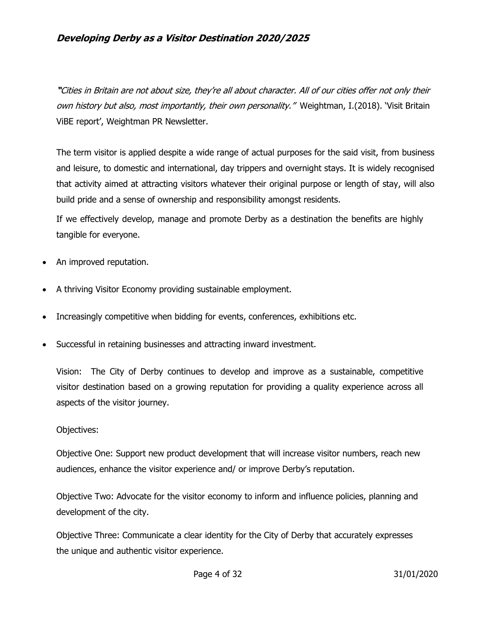**"**Cities in Britain are not about size, they're all about character. All of our cities offer not only their own history but also, most importantly, their own personality." Weightman, I.(2018). 'Visit Britain ViBE report', Weightman PR Newsletter.

The term visitor is applied despite a wide range of actual purposes for the said visit, from business and leisure, to domestic and international, day trippers and overnight stays. It is widely recognised that activity aimed at attracting visitors whatever their original purpose or length of stay, will also build pride and a sense of ownership and responsibility amongst residents.

If we effectively develop, manage and promote Derby as a destination the benefits are highly tangible for everyone.

- An improved reputation.
- A thriving Visitor Economy providing sustainable employment.
- Increasingly competitive when bidding for events, conferences, exhibitions etc.
- Successful in retaining businesses and attracting inward investment.

Vision: The City of Derby continues to develop and improve as a sustainable, competitive visitor destination based on a growing reputation for providing a quality experience across all aspects of the visitor journey.

#### Objectives:

Objective One: Support new product development that will increase visitor numbers, reach new audiences, enhance the visitor experience and/ or improve Derby's reputation.

Objective Two: Advocate for the visitor economy to inform and influence policies, planning and development of the city.

Objective Three: Communicate a clear identity for the City of Derby that accurately expresses the unique and authentic visitor experience.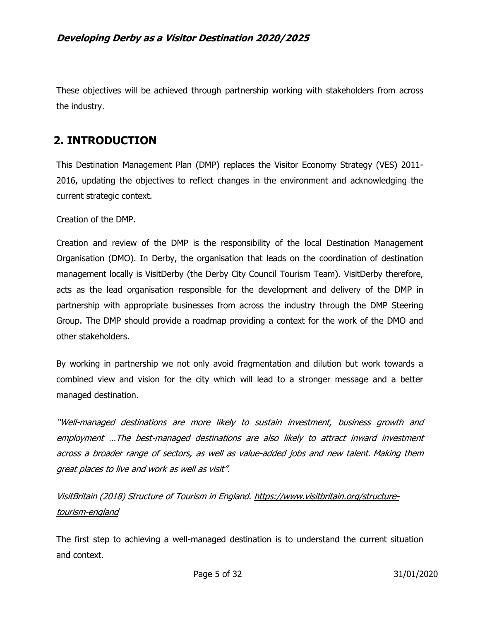These objectives will be achieved through partnership working with stakeholders from across the industry.

# **2. INTRODUCTION**

This Destination Management Plan (DMP) replaces the Visitor Economy Strategy (VES) 2011- 2016, updating the objectives to reflect changes in the environment and acknowledging the current strategic context.

Creation of the DMP.

Creation and review of the DMP is the responsibility of the local Destination Management Organisation (DMO). In Derby, the organisation that leads on the coordination of destination management locally is VisitDerby (the Derby City Council Tourism Team). VisitDerby therefore, acts as the lead organisation responsible for the development and delivery of the DMP in partnership with appropriate businesses from across the industry through the DMP Steering Group. The DMP should provide a roadmap providing a context for the work of the DMO and other stakeholders.

By working in partnership we not only avoid fragmentation and dilution but work towards a combined view and vision for the city which will lead to a stronger message and a better managed destination.

"Well-managed destinations are more likely to sustain investment, business growth and employment …The best-managed destinations are also likely to attract inward investment across a broader range of sectors, as well as value-added jobs and new talent. Making them great places to live and work as well as visit".

VisitBritain (2018) Structure of Tourism in England. [https://www.visitbritain.org/structure](https://www.visitbritain.org/structure-tourism-england)[tourism-england](https://www.visitbritain.org/structure-tourism-england)

The first step to achieving a well-managed destination is to understand the current situation and context.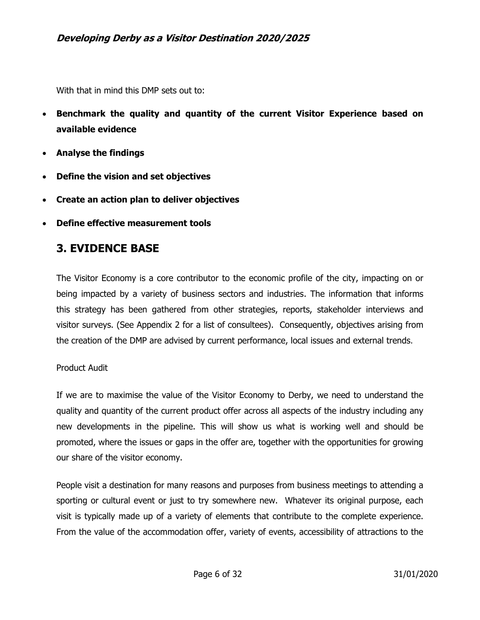With that in mind this DMP sets out to:

- **Benchmark the quality and quantity of the current Visitor Experience based on available evidence**
- **Analyse the findings**
- **Define the vision and set objectives**
- **Create an action plan to deliver objectives**
- **Define effective measurement tools**

# **3. EVIDENCE BASE**

The Visitor Economy is a core contributor to the economic profile of the city, impacting on or being impacted by a variety of business sectors and industries. The information that informs this strategy has been gathered from other strategies, reports, stakeholder interviews and visitor surveys. (See Appendix 2 for a list of consultees). Consequently, objectives arising from the creation of the DMP are advised by current performance, local issues and external trends.

#### Product Audit

If we are to maximise the value of the Visitor Economy to Derby, we need to understand the quality and quantity of the current product offer across all aspects of the industry including any new developments in the pipeline. This will show us what is working well and should be promoted, where the issues or gaps in the offer are, together with the opportunities for growing our share of the visitor economy.

People visit a destination for many reasons and purposes from business meetings to attending a sporting or cultural event or just to try somewhere new. Whatever its original purpose, each visit is typically made up of a variety of elements that contribute to the complete experience. From the value of the accommodation offer, variety of events, accessibility of attractions to the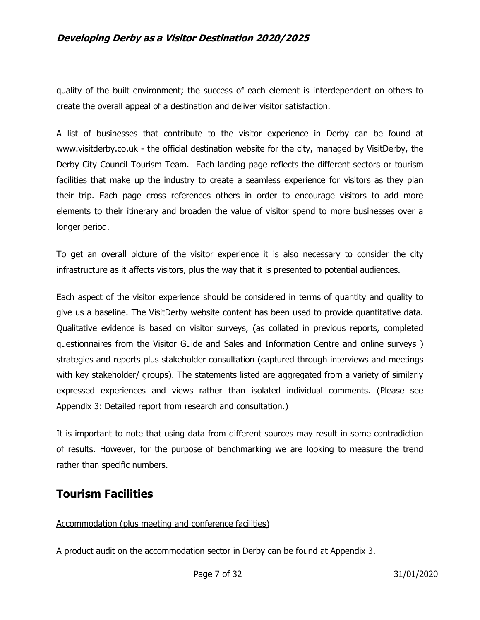quality of the built environment; the success of each element is interdependent on others to create the overall appeal of a destination and deliver visitor satisfaction.

A list of businesses that contribute to the visitor experience in Derby can be found at [www.visitderby.co.uk](http://www.visitderby.co.uk/) - the official destination website for the city, managed by VisitDerby, the Derby City Council Tourism Team. Each landing page reflects the different sectors or tourism facilities that make up the industry to create a seamless experience for visitors as they plan their trip. Each page cross references others in order to encourage visitors to add more elements to their itinerary and broaden the value of visitor spend to more businesses over a longer period.

To get an overall picture of the visitor experience it is also necessary to consider the city infrastructure as it affects visitors, plus the way that it is presented to potential audiences.

Each aspect of the visitor experience should be considered in terms of quantity and quality to give us a baseline. The VisitDerby website content has been used to provide quantitative data. Qualitative evidence is based on visitor surveys, (as collated in previous reports, completed questionnaires from the Visitor Guide and Sales and Information Centre and online surveys ) strategies and reports plus stakeholder consultation (captured through interviews and meetings with key stakeholder/ groups). The statements listed are aggregated from a variety of similarly expressed experiences and views rather than isolated individual comments. (Please see Appendix 3: Detailed report from research and consultation.)

It is important to note that using data from different sources may result in some contradiction of results. However, for the purpose of benchmarking we are looking to measure the trend rather than specific numbers.

# **Tourism Facilities**

### Accommodation (plus meeting and conference facilities)

A product audit on the accommodation sector in Derby can be found at Appendix 3.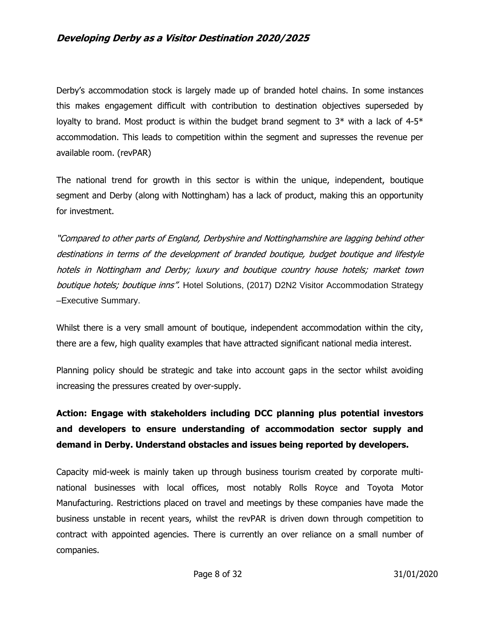Derby's accommodation stock is largely made up of branded hotel chains. In some instances this makes engagement difficult with contribution to destination objectives superseded by loyalty to brand. Most product is within the budget brand segment to  $3*$  with a lack of 4-5 $*$ accommodation. This leads to competition within the segment and supresses the revenue per available room. (revPAR)

The national trend for growth in this sector is within the unique, independent, boutique segment and Derby (along with Nottingham) has a lack of product, making this an opportunity for investment.

"Compared to other parts of England, Derbyshire and Nottinghamshire are lagging behind other destinations in terms of the development of branded boutique, budget boutique and lifestyle hotels in Nottingham and Derby; luxury and boutique country house hotels; market town boutique hotels; boutique inns". Hotel Solutions, (2017) D2N2 Visitor Accommodation Strategy –Executive Summary.

Whilst there is a very small amount of boutique, independent accommodation within the city, there are a few, high quality examples that have attracted significant national media interest.

Planning policy should be strategic and take into account gaps in the sector whilst avoiding increasing the pressures created by over-supply.

**Action: Engage with stakeholders including DCC planning plus potential investors and developers to ensure understanding of accommodation sector supply and demand in Derby. Understand obstacles and issues being reported by developers.**

Capacity mid-week is mainly taken up through business tourism created by corporate multinational businesses with local offices, most notably Rolls Royce and Toyota Motor Manufacturing. Restrictions placed on travel and meetings by these companies have made the business unstable in recent years, whilst the revPAR is driven down through competition to contract with appointed agencies. There is currently an over reliance on a small number of companies.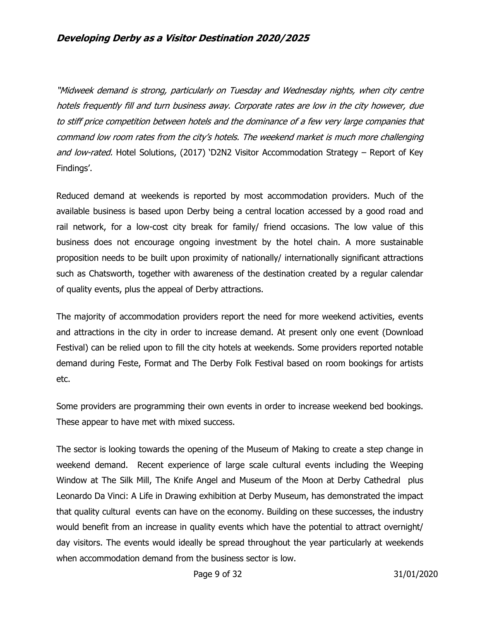"Midweek demand is strong, particularly on Tuesday and Wednesday nights, when city centre hotels frequently fill and turn business away. Corporate rates are low in the city however, due to stiff price competition between hotels and the dominance of a few very large companies that command low room rates from the city's hotels. The weekend market is much more challenging and low-rated. Hotel Solutions, (2017) 'D2N2 Visitor Accommodation Strategy – Report of Key Findings'.

Reduced demand at weekends is reported by most accommodation providers. Much of the available business is based upon Derby being a central location accessed by a good road and rail network, for a low-cost city break for family/ friend occasions. The low value of this business does not encourage ongoing investment by the hotel chain. A more sustainable proposition needs to be built upon proximity of nationally/ internationally significant attractions such as Chatsworth, together with awareness of the destination created by a regular calendar of quality events, plus the appeal of Derby attractions.

The majority of accommodation providers report the need for more weekend activities, events and attractions in the city in order to increase demand. At present only one event (Download Festival) can be relied upon to fill the city hotels at weekends. Some providers reported notable demand during Feste, Format and The Derby Folk Festival based on room bookings for artists etc.

Some providers are programming their own events in order to increase weekend bed bookings. These appear to have met with mixed success.

The sector is looking towards the opening of the Museum of Making to create a step change in weekend demand. Recent experience of large scale cultural events including the Weeping Window at The Silk Mill, The Knife Angel and Museum of the Moon at Derby Cathedral plus Leonardo Da Vinci: A Life in Drawing exhibition at Derby Museum, has demonstrated the impact that quality cultural events can have on the economy. Building on these successes, the industry would benefit from an increase in quality events which have the potential to attract overnight/ day visitors. The events would ideally be spread throughout the year particularly at weekends when accommodation demand from the business sector is low.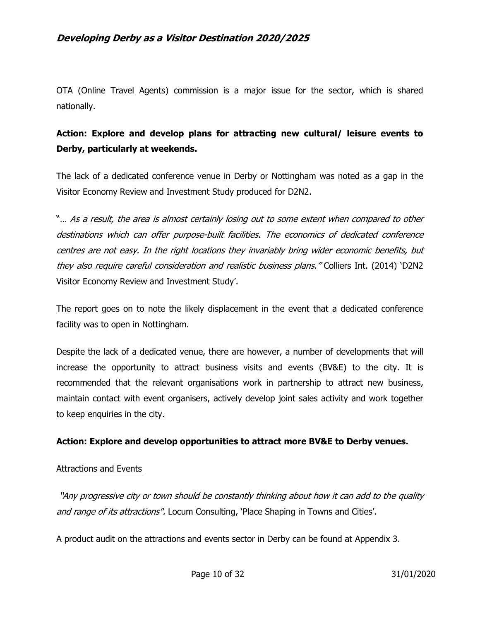OTA (Online Travel Agents) commission is a major issue for the sector, which is shared nationally.

# **Action: Explore and develop plans for attracting new cultural/ leisure events to Derby, particularly at weekends.**

The lack of a dedicated conference venue in Derby or Nottingham was noted as a gap in the Visitor Economy Review and Investment Study produced for D2N2.

"… As a result, the area is almost certainly losing out to some extent when compared to other destinations which can offer purpose-built facilities. The economics of dedicated conference centres are not easy. In the right locations they invariably bring wider economic benefits, but they also require careful consideration and realistic business plans." Colliers Int. (2014) 'D2N2 Visitor Economy Review and Investment Study'.

The report goes on to note the likely displacement in the event that a dedicated conference facility was to open in Nottingham.

Despite the lack of a dedicated venue, there are however, a number of developments that will increase the opportunity to attract business visits and events (BV&E) to the city. It is recommended that the relevant organisations work in partnership to attract new business, maintain contact with event organisers, actively develop joint sales activity and work together to keep enquiries in the city.

#### **Action: Explore and develop opportunities to attract more BV&E to Derby venues.**

#### Attractions and Events

"Any progressive city or town should be constantly thinking about how it can add to the quality and range of its attractions". Locum Consulting, 'Place Shaping in Towns and Cities'.

A product audit on the attractions and events sector in Derby can be found at Appendix 3.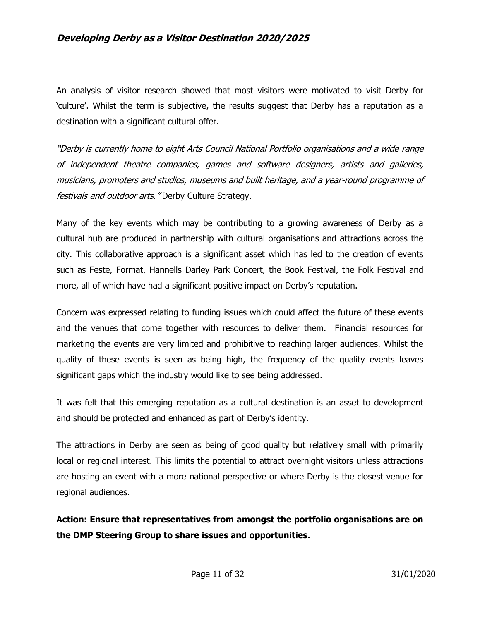An analysis of visitor research showed that most visitors were motivated to visit Derby for 'culture'. Whilst the term is subjective, the results suggest that Derby has a reputation as a destination with a significant cultural offer.

"Derby is currently home to eight Arts Council National Portfolio organisations and a wide range of independent theatre companies, games and software designers, artists and galleries, musicians, promoters and studios, museums and built heritage, and a year-round programme of festivals and outdoor arts. "Derby Culture Strategy.

Many of the key events which may be contributing to a growing awareness of Derby as a cultural hub are produced in partnership with cultural organisations and attractions across the city. This collaborative approach is a significant asset which has led to the creation of events such as Feste, Format, Hannells Darley Park Concert, the Book Festival, the Folk Festival and more, all of which have had a significant positive impact on Derby's reputation.

Concern was expressed relating to funding issues which could affect the future of these events and the venues that come together with resources to deliver them. Financial resources for marketing the events are very limited and prohibitive to reaching larger audiences. Whilst the quality of these events is seen as being high, the frequency of the quality events leaves significant gaps which the industry would like to see being addressed.

It was felt that this emerging reputation as a cultural destination is an asset to development and should be protected and enhanced as part of Derby's identity.

The attractions in Derby are seen as being of good quality but relatively small with primarily local or regional interest. This limits the potential to attract overnight visitors unless attractions are hosting an event with a more national perspective or where Derby is the closest venue for regional audiences.

**Action: Ensure that representatives from amongst the portfolio organisations are on the DMP Steering Group to share issues and opportunities.**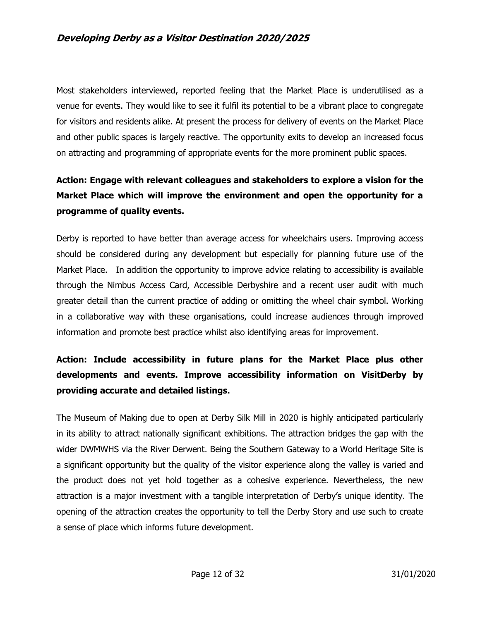Most stakeholders interviewed, reported feeling that the Market Place is underutilised as a venue for events. They would like to see it fulfil its potential to be a vibrant place to congregate for visitors and residents alike. At present the process for delivery of events on the Market Place and other public spaces is largely reactive. The opportunity exits to develop an increased focus on attracting and programming of appropriate events for the more prominent public spaces.

# **Action: Engage with relevant colleagues and stakeholders to explore a vision for the Market Place which will improve the environment and open the opportunity for a programme of quality events.**

Derby is reported to have better than average access for wheelchairs users. Improving access should be considered during any development but especially for planning future use of the Market Place. In addition the opportunity to improve advice relating to accessibility is available through the Nimbus Access Card, Accessible Derbyshire and a recent user audit with much greater detail than the current practice of adding or omitting the wheel chair symbol. Working in a collaborative way with these organisations, could increase audiences through improved information and promote best practice whilst also identifying areas for improvement.

# **Action: Include accessibility in future plans for the Market Place plus other developments and events. Improve accessibility information on VisitDerby by providing accurate and detailed listings.**

The Museum of Making due to open at Derby Silk Mill in 2020 is highly anticipated particularly in its ability to attract nationally significant exhibitions. The attraction bridges the gap with the wider DWMWHS via the River Derwent. Being the Southern Gateway to a World Heritage Site is a significant opportunity but the quality of the visitor experience along the valley is varied and the product does not yet hold together as a cohesive experience. Nevertheless, the new attraction is a major investment with a tangible interpretation of Derby's unique identity. The opening of the attraction creates the opportunity to tell the Derby Story and use such to create a sense of place which informs future development.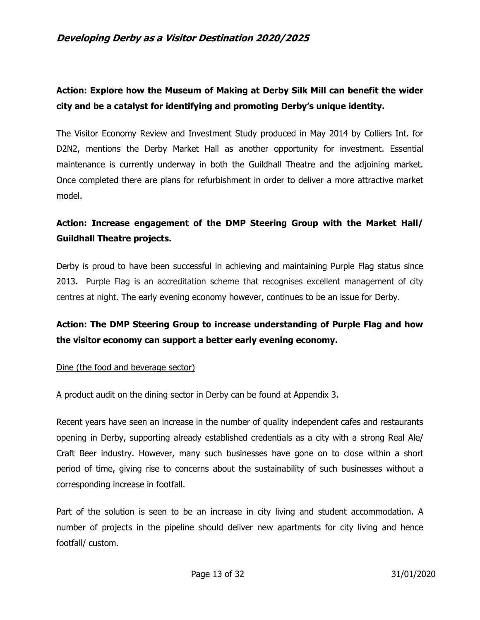# **Action: Explore how the Museum of Making at Derby Silk Mill can benefit the wider city and be a catalyst for identifying and promoting Derby's unique identity.**

The Visitor Economy Review and Investment Study produced in May 2014 by Colliers Int. for D2N2, mentions the Derby Market Hall as another opportunity for investment. Essential maintenance is currently underway in both the Guildhall Theatre and the adjoining market. Once completed there are plans for refurbishment in order to deliver a more attractive market model.

# **Action: Increase engagement of the DMP Steering Group with the Market Hall/ Guildhall Theatre projects.**

Derby is proud to have been successful in achieving and maintaining Purple Flag status since 2013. Purple Flag is an accreditation scheme that recognises excellent management of city centres at night. The early evening economy however, continues to be an issue for Derby.

# **Action: The DMP Steering Group to increase understanding of Purple Flag and how the visitor economy can support a better early evening economy.**

#### Dine (the food and beverage sector)

A product audit on the dining sector in Derby can be found at Appendix 3.

Recent years have seen an increase in the number of quality independent cafes and restaurants opening in Derby, supporting already established credentials as a city with a strong Real Ale/ Craft Beer industry. However, many such businesses have gone on to close within a short period of time, giving rise to concerns about the sustainability of such businesses without a corresponding increase in footfall.

Part of the solution is seen to be an increase in city living and student accommodation. A number of projects in the pipeline should deliver new apartments for city living and hence footfall/ custom.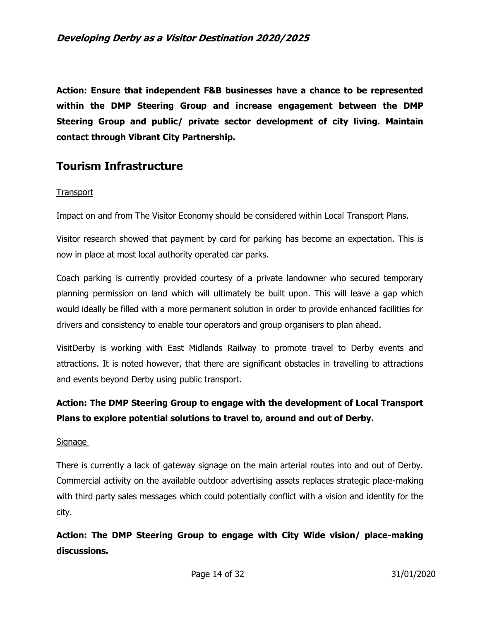**Action: Ensure that independent F&B businesses have a chance to be represented within the DMP Steering Group and increase engagement between the DMP Steering Group and public/ private sector development of city living. Maintain contact through Vibrant City Partnership.**

# **Tourism Infrastructure**

#### **Transport**

Impact on and from The Visitor Economy should be considered within Local Transport Plans.

Visitor research showed that payment by card for parking has become an expectation. This is now in place at most local authority operated car parks.

Coach parking is currently provided courtesy of a private landowner who secured temporary planning permission on land which will ultimately be built upon. This will leave a gap which would ideally be filled with a more permanent solution in order to provide enhanced facilities for drivers and consistency to enable tour operators and group organisers to plan ahead.

VisitDerby is working with East Midlands Railway to promote travel to Derby events and attractions. It is noted however, that there are significant obstacles in travelling to attractions and events beyond Derby using public transport.

# **Action: The DMP Steering Group to engage with the development of Local Transport Plans to explore potential solutions to travel to, around and out of Derby.**

#### Signage

There is currently a lack of gateway signage on the main arterial routes into and out of Derby. Commercial activity on the available outdoor advertising assets replaces strategic place-making with third party sales messages which could potentially conflict with a vision and identity for the city.

**Action: The DMP Steering Group to engage with City Wide vision/ place-making discussions.**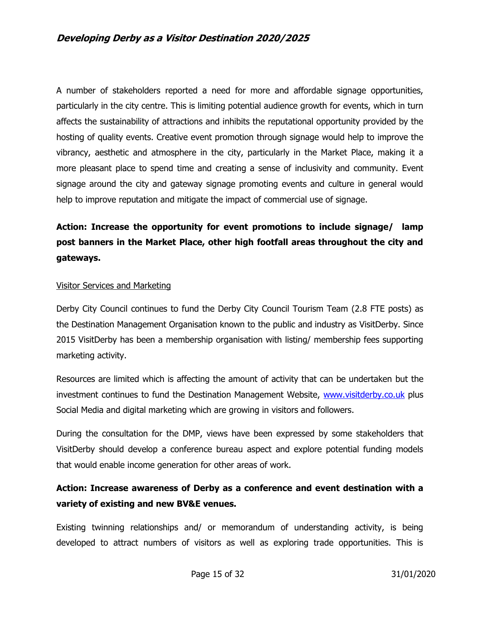A number of stakeholders reported a need for more and affordable signage opportunities, particularly in the city centre. This is limiting potential audience growth for events, which in turn affects the sustainability of attractions and inhibits the reputational opportunity provided by the hosting of quality events. Creative event promotion through signage would help to improve the vibrancy, aesthetic and atmosphere in the city, particularly in the Market Place, making it a more pleasant place to spend time and creating a sense of inclusivity and community. Event signage around the city and gateway signage promoting events and culture in general would help to improve reputation and mitigate the impact of commercial use of signage.

# **Action: Increase the opportunity for event promotions to include signage/ lamp post banners in the Market Place, other high footfall areas throughout the city and gateways.**

#### Visitor Services and Marketing

Derby City Council continues to fund the Derby City Council Tourism Team (2.8 FTE posts) as the Destination Management Organisation known to the public and industry as VisitDerby. Since 2015 VisitDerby has been a membership organisation with listing/ membership fees supporting marketing activity.

Resources are limited which is affecting the amount of activity that can be undertaken but the investment continues to fund the Destination Management Website, [www.visitderby.co.uk](http://www.visitderby.co.uk/) plus Social Media and digital marketing which are growing in visitors and followers.

During the consultation for the DMP, views have been expressed by some stakeholders that VisitDerby should develop a conference bureau aspect and explore potential funding models that would enable income generation for other areas of work.

# **Action: Increase awareness of Derby as a conference and event destination with a variety of existing and new BV&E venues.**

Existing twinning relationships and/ or memorandum of understanding activity, is being developed to attract numbers of visitors as well as exploring trade opportunities. This is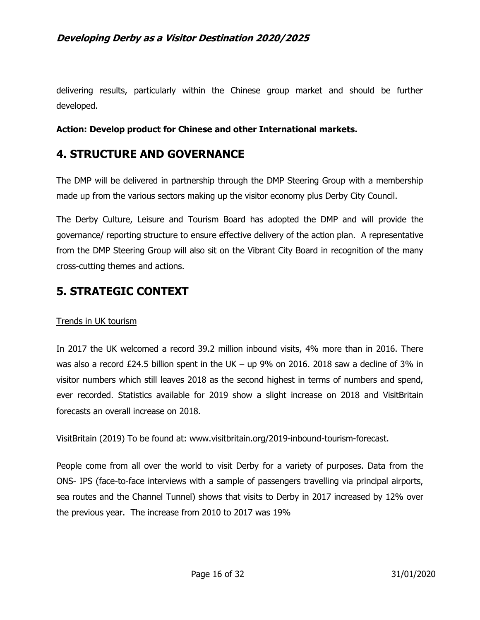delivering results, particularly within the Chinese group market and should be further developed.

#### **Action: Develop product for Chinese and other International markets.**

# **4. STRUCTURE AND GOVERNANCE**

The DMP will be delivered in partnership through the DMP Steering Group with a membership made up from the various sectors making up the visitor economy plus Derby City Council.

The Derby Culture, Leisure and Tourism Board has adopted the DMP and will provide the governance/ reporting structure to ensure effective delivery of the action plan. A representative from the DMP Steering Group will also sit on the Vibrant City Board in recognition of the many cross-cutting themes and actions.

# **5. STRATEGIC CONTEXT**

#### Trends in UK tourism

In 2017 the UK welcomed a record 39.2 million inbound visits, 4% more than in 2016. There was also a record  $£24.5$  billion spent in the UK – up 9% on 2016. 2018 saw a decline of 3% in visitor numbers which still leaves 2018 as the second highest in terms of numbers and spend, ever recorded. Statistics available for 2019 show a slight increase on 2018 and VisitBritain forecasts an overall increase on 2018.

VisitBritain (2019) To be found at: www.visitbritain.org/2019-inbound-tourism-forecast.

People come from all over the world to visit Derby for a variety of purposes. Data from the ONS- IPS (face-to-face interviews with a sample of passengers travelling via principal airports, sea routes and the Channel Tunnel) shows that visits to Derby in 2017 increased by 12% over the previous year. The increase from 2010 to 2017 was 19%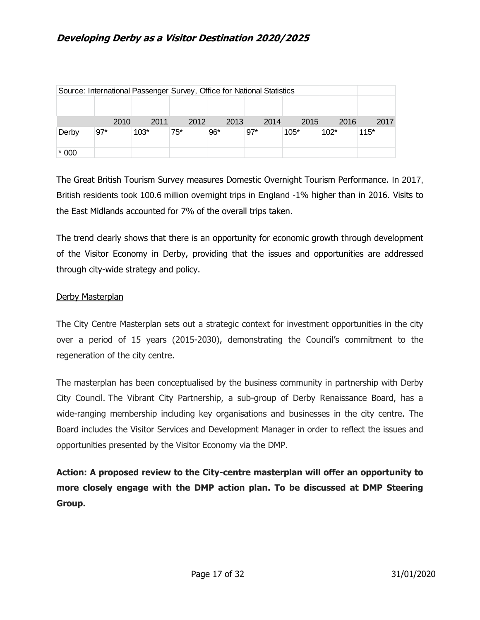| Source: International Passenger Survey, Office for National Statistics |       |        |       |       |       |        |        |        |  |  |  |  |
|------------------------------------------------------------------------|-------|--------|-------|-------|-------|--------|--------|--------|--|--|--|--|
|                                                                        |       |        |       |       |       |        |        |        |  |  |  |  |
|                                                                        |       |        |       |       |       |        |        |        |  |  |  |  |
|                                                                        | 2010  | 2011   | 2012  | 2013  | 2014  | 2015   | 2016   | 2017   |  |  |  |  |
| Derby                                                                  | $97*$ | $103*$ | $75*$ | $96*$ | $97*$ | $105*$ | $102*$ | $115*$ |  |  |  |  |
|                                                                        |       |        |       |       |       |        |        |        |  |  |  |  |
| $*000$                                                                 |       |        |       |       |       |        |        |        |  |  |  |  |

The Great British Tourism Survey measures Domestic Overnight Tourism Performance. In 2017, British residents took 100.6 million overnight trips in England -1% higher than in 2016. Visits to the East Midlands accounted for 7% of the overall trips taken.

The trend clearly shows that there is an opportunity for economic growth through development of the Visitor Economy in Derby, providing that the issues and opportunities are addressed through city-wide strategy and policy.

#### Derby Masterplan

The City Centre Masterplan sets out a strategic context for investment opportunities in the city over a period of 15 years (2015-2030), demonstrating the Council's commitment to the regeneration of the city centre.

The masterplan has been conceptualised by the business community in partnership with Derby City Council. The Vibrant City Partnership, a sub-group of Derby Renaissance Board, has a wide-ranging membership including key organisations and businesses in the city centre. The Board includes the Visitor Services and Development Manager in order to reflect the issues and opportunities presented by the Visitor Economy via the DMP.

**Action: A proposed review to the City-centre masterplan will offer an opportunity to more closely engage with the DMP action plan. To be discussed at DMP Steering Group.**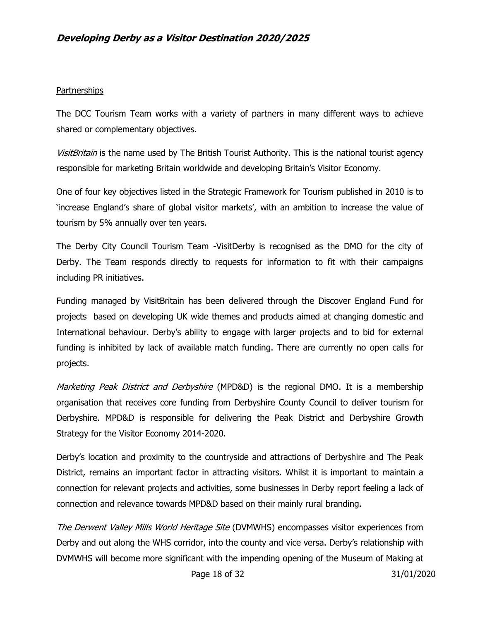#### **Partnerships**

The DCC Tourism Team works with a variety of partners in many different ways to achieve shared or complementary objectives.

VisitBritain is the name used by The British Tourist Authority. This is the national tourist agency responsible for marketing Britain worldwide and developing Britain's Visitor Economy.

One of four key objectives listed in the Strategic Framework for Tourism published in 2010 is to 'increase England's share of global visitor markets', with an ambition to increase the value of tourism by 5% annually over ten years.

The Derby City Council Tourism Team -VisitDerby is recognised as the DMO for the city of Derby. The Team responds directly to requests for information to fit with their campaigns including PR initiatives.

Funding managed by VisitBritain has been delivered through the Discover England Fund for projects based on developing UK wide themes and products aimed at changing domestic and International behaviour. Derby's ability to engage with larger projects and to bid for external funding is inhibited by lack of available match funding. There are currently no open calls for projects.

Marketing Peak District and Derbyshire (MPD&D) is the regional DMO. It is a membership organisation that receives core funding from Derbyshire County Council to deliver tourism for Derbyshire. MPD&D is responsible for delivering the Peak District and Derbyshire Growth Strategy for the Visitor Economy 2014-2020.

Derby's location and proximity to the countryside and attractions of Derbyshire and The Peak District, remains an important factor in attracting visitors. Whilst it is important to maintain a connection for relevant projects and activities, some businesses in Derby report feeling a lack of connection and relevance towards MPD&D based on their mainly rural branding.

The Derwent Valley Mills World Heritage Site (DVMWHS) encompasses visitor experiences from Derby and out along the WHS corridor, into the county and vice versa. Derby's relationship with DVMWHS will become more significant with the impending opening of the Museum of Making at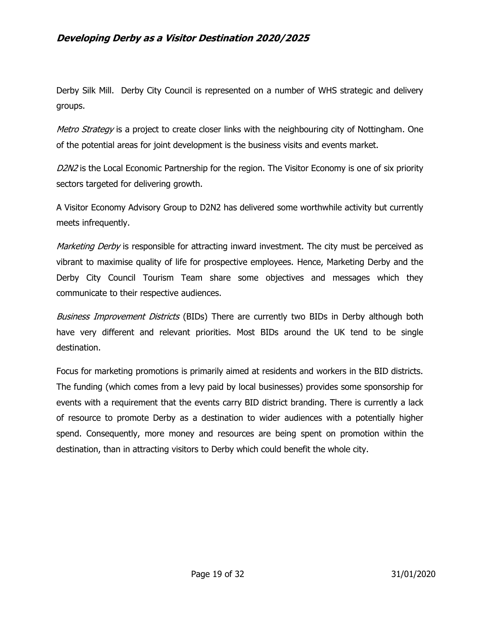Derby Silk Mill. Derby City Council is represented on a number of WHS strategic and delivery groups.

*Metro Strategy* is a project to create closer links with the neighbouring city of Nottingham. One of the potential areas for joint development is the business visits and events market.

D2N2 is the Local Economic Partnership for the region. The Visitor Economy is one of six priority sectors targeted for delivering growth.

A Visitor Economy Advisory Group to D2N2 has delivered some worthwhile activity but currently meets infrequently.

Marketing Derby is responsible for attracting inward investment. The city must be perceived as vibrant to maximise quality of life for prospective employees. Hence, Marketing Derby and the Derby City Council Tourism Team share some objectives and messages which they communicate to their respective audiences.

Business Improvement Districts (BIDs) There are currently two BIDs in Derby although both have very different and relevant priorities. Most BIDs around the UK tend to be single destination.

Focus for marketing promotions is primarily aimed at residents and workers in the BID districts. The funding (which comes from a levy paid by local businesses) provides some sponsorship for events with a requirement that the events carry BID district branding. There is currently a lack of resource to promote Derby as a destination to wider audiences with a potentially higher spend. Consequently, more money and resources are being spent on promotion within the destination, than in attracting visitors to Derby which could benefit the whole city.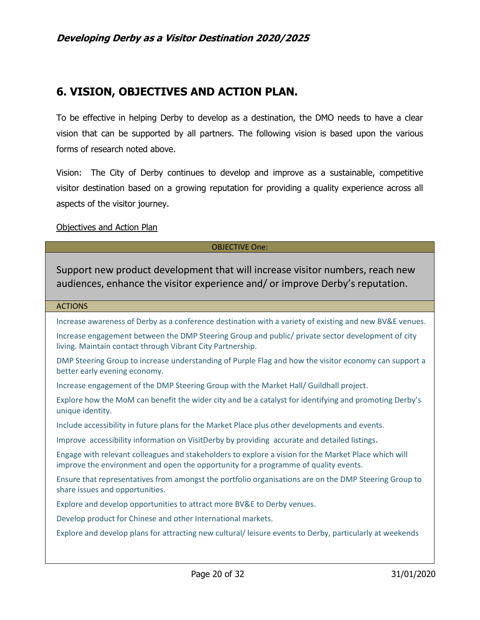# **6. VISION, OBJECTIVES AND ACTION PLAN.**

To be effective in helping Derby to develop as a destination, the DMO needs to have a clear vision that can be supported by all partners. The following vision is based upon the various forms of research noted above.

Vision: The City of Derby continues to develop and improve as a sustainable, competitive visitor destination based on a growing reputation for providing a quality experience across all aspects of the visitor journey.

#### Objectives and Action Plan

#### OBJECTIVE One:

Support new product development that will increase visitor numbers, reach new audiences, enhance the visitor experience and/ or improve Derby's reputation.

#### ACTIONS

Increase awareness of Derby as a conference destination with a variety of existing and new BV&E venues.

Increase engagement between the DMP Steering Group and public/ private sector development of city living. Maintain contact through Vibrant City Partnership.

DMP Steering Group to increase understanding of Purple Flag and how the visitor economy can support a better early evening economy.

Increase engagement of the DMP Steering Group with the Market Hall/ Guildhall project.

Explore how the MoM can benefit the wider city and be a catalyst for identifying and promoting Derby's unique identity.

Include accessibility in future plans for the Market Place plus other developments and events.

Improve accessibility information on VisitDerby by providing accurate and detailed listings.

Engage with relevant colleagues and stakeholders to explore a vision for the Market Place which will improve the environment and open the opportunity for a programme of quality events.

Ensure that representatives from amongst the portfolio organisations are on the DMP Steering Group to share issues and opportunities.

Explore and develop opportunities to attract more BV&E to Derby venues.

Develop product for Chinese and other International markets.

Explore and develop plans for attracting new cultural/ leisure events to Derby, particularly at weekends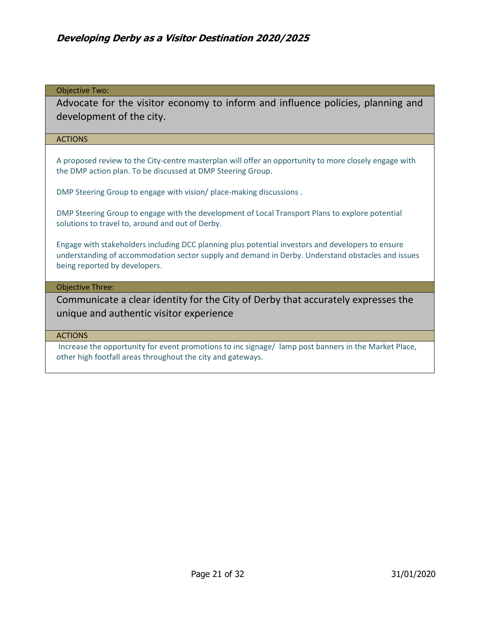#### Objective Two:

Advocate for the visitor economy to inform and influence policies, planning and development of the city.

#### ACTIONS

A proposed review to the City-centre masterplan will offer an opportunity to more closely engage with the DMP action plan. To be discussed at DMP Steering Group.

DMP Steering Group to engage with vision/ place-making discussions .

DMP Steering Group to engage with the development of Local Transport Plans to explore potential solutions to travel to, around and out of Derby.

Engage with stakeholders including DCC planning plus potential investors and developers to ensure understanding of accommodation sector supply and demand in Derby. Understand obstacles and issues being reported by developers.

#### Objective Three:

Communicate a clear identity for the City of Derby that accurately expresses the unique and authentic visitor experience

#### ACTIONS

Increase the opportunity for event promotions to inc signage/ lamp post banners in the Market Place, other high footfall areas throughout the city and gateways.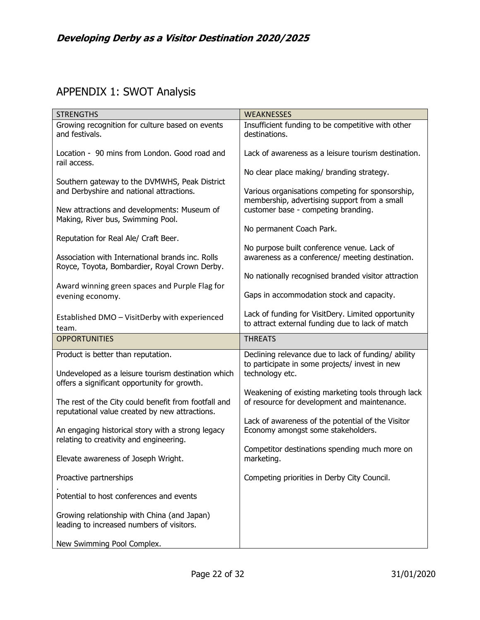# APPENDIX 1: SWOT Analysis

| <b>STRENGTHS</b>                                                                                     | <b>WEAKNESSES</b>                                                                                                        |  |  |  |
|------------------------------------------------------------------------------------------------------|--------------------------------------------------------------------------------------------------------------------------|--|--|--|
| Growing recognition for culture based on events<br>and festivals.                                    | Insufficient funding to be competitive with other<br>destinations.                                                       |  |  |  |
| Location - 90 mins from London. Good road and<br>rail access.                                        | Lack of awareness as a leisure tourism destination.                                                                      |  |  |  |
| Southern gateway to the DVMWHS, Peak District                                                        | No clear place making/ branding strategy.<br>Various organisations competing for sponsorship,                            |  |  |  |
| and Derbyshire and national attractions.<br>New attractions and developments: Museum of              | membership, advertising support from a small<br>customer base - competing branding.                                      |  |  |  |
| Making, River bus, Swimming Pool.<br>Reputation for Real Ale/ Craft Beer.                            | No permanent Coach Park.                                                                                                 |  |  |  |
| Association with International brands inc. Rolls<br>Royce, Toyota, Bombardier, Royal Crown Derby.    | No purpose built conference venue. Lack of<br>awareness as a conference/ meeting destination.                            |  |  |  |
| Award winning green spaces and Purple Flag for                                                       | No nationally recognised branded visitor attraction                                                                      |  |  |  |
| evening economy.                                                                                     | Gaps in accommodation stock and capacity.                                                                                |  |  |  |
| Established DMO - VisitDerby with experienced<br>team.                                               | Lack of funding for VisitDery. Limited opportunity<br>to attract external funding due to lack of match                   |  |  |  |
|                                                                                                      |                                                                                                                          |  |  |  |
| <b>OPPORTUNITIES</b>                                                                                 | <b>THREATS</b>                                                                                                           |  |  |  |
| Product is better than reputation.<br>Undeveloped as a leisure tourism destination which             | Declining relevance due to lack of funding/ ability<br>to participate in some projects/ invest in new<br>technology etc. |  |  |  |
| offers a significant opportunity for growth.<br>The rest of the City could benefit from footfall and | Weakening of existing marketing tools through lack<br>of resource for development and maintenance.                       |  |  |  |
| reputational value created by new attractions.<br>An engaging historical story with a strong legacy  | Lack of awareness of the potential of the Visitor<br>Economy amongst some stakeholders.                                  |  |  |  |
| relating to creativity and engineering.<br>Elevate awareness of Joseph Wright.                       | Competitor destinations spending much more on<br>marketing.                                                              |  |  |  |
| Proactive partnerships                                                                               | Competing priorities in Derby City Council.                                                                              |  |  |  |
| Potential to host conferences and events                                                             |                                                                                                                          |  |  |  |
| Growing relationship with China (and Japan)<br>leading to increased numbers of visitors.             |                                                                                                                          |  |  |  |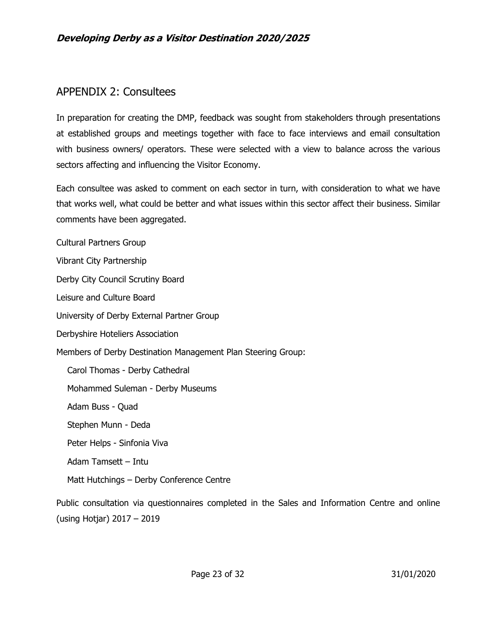# APPENDIX 2: Consultees

In preparation for creating the DMP, feedback was sought from stakeholders through presentations at established groups and meetings together with face to face interviews and email consultation with business owners/ operators. These were selected with a view to balance across the various sectors affecting and influencing the Visitor Economy.

Each consultee was asked to comment on each sector in turn, with consideration to what we have that works well, what could be better and what issues within this sector affect their business. Similar comments have been aggregated.

Cultural Partners Group Vibrant City Partnership Derby City Council Scrutiny Board Leisure and Culture Board University of Derby External Partner Group Derbyshire Hoteliers Association Members of Derby Destination Management Plan Steering Group: Carol Thomas - Derby Cathedral Mohammed Suleman - Derby Museums Adam Buss - Quad Stephen Munn - Deda Peter Helps - Sinfonia Viva Adam Tamsett – Intu Matt Hutchings – Derby Conference Centre Public consultation via questionnaires completed in the Sales and Information Centre and online

(using Hotjar) 2017 – 2019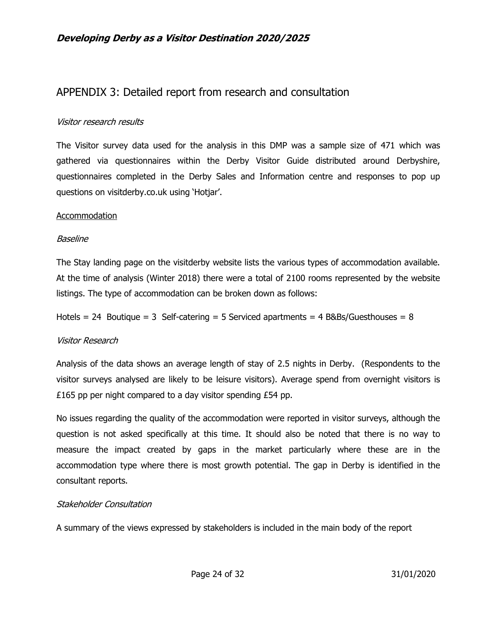# APPENDIX 3: Detailed report from research and consultation

#### Visitor research results

The Visitor survey data used for the analysis in this DMP was a sample size of 471 which was gathered via questionnaires within the Derby Visitor Guide distributed around Derbyshire, questionnaires completed in the Derby Sales and Information centre and responses to pop up questions on visitderby.co.uk using 'Hotjar'.

#### Accommodation

#### Baseline

The Stay landing page on the visitderby website lists the various types of accommodation available. At the time of analysis (Winter 2018) there were a total of 2100 rooms represented by the website listings. The type of accommodation can be broken down as follows:

Hotels = 24 Boutique = 3 Self-catering = 5 Serviced apartments =  $4$  B&Bs/Guesthouses =  $8$ 

#### Visitor Research

Analysis of the data shows an average length of stay of 2.5 nights in Derby. (Respondents to the visitor surveys analysed are likely to be leisure visitors). Average spend from overnight visitors is £165 pp per night compared to a day visitor spending £54 pp.

No issues regarding the quality of the accommodation were reported in visitor surveys, although the question is not asked specifically at this time. It should also be noted that there is no way to measure the impact created by gaps in the market particularly where these are in the accommodation type where there is most growth potential. The gap in Derby is identified in the consultant reports.

#### Stakeholder Consultation

A summary of the views expressed by stakeholders is included in the main body of the report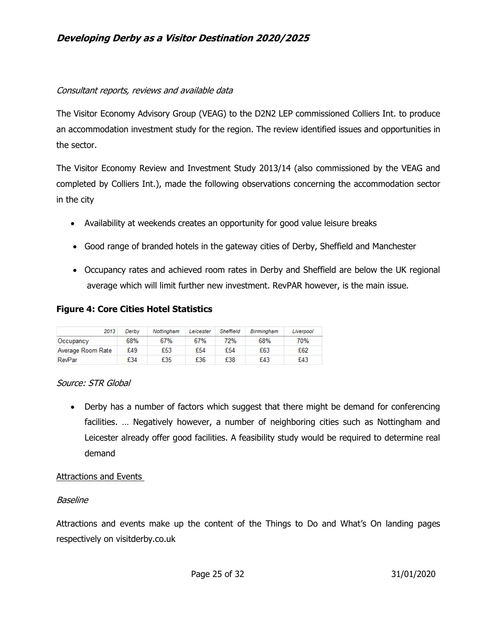### Consultant reports, reviews and available data

The Visitor Economy Advisory Group (VEAG) to the D2N2 LEP commissioned Colliers Int. to produce an accommodation investment study for the region. The review identified issues and opportunities in the sector.

The Visitor Economy Review and Investment Study 2013/14 (also commissioned by the VEAG and completed by Colliers Int.), made the following observations concerning the accommodation sector in the city

- Availability at weekends creates an opportunity for good value leisure breaks
- Good range of branded hotels in the gateway cities of Derby, Sheffield and Manchester
- Occupancy rates and achieved room rates in Derby and Sheffield are below the UK regional average which will limit further new investment. RevPAR however, is the main issue.

### **Figure 4: Core Cities Hotel Statistics**

| 2013              | Derbv | Nottingham | Leicester | Sheffield | Birmingham | Liverpool |
|-------------------|-------|------------|-----------|-----------|------------|-----------|
| Occupancy         | 68%   | 67%        | 67%       | 2%        | 68%        | 70%       |
| Average Room Rate | £49   | £53        | £54       | £54       | £63        | £62       |
| RevPar            | £34   | £35        | £36       | £38       | £43        | £43       |

#### Source: STR Global

• Derby has a number of factors which suggest that there might be demand for conferencing facilities. … Negatively however, a number of neighboring cities such as Nottingham and Leicester already offer good facilities. A feasibility study would be required to determine real demand

#### Attractions and Events

#### Baseline

Attractions and events make up the content of the Things to Do and What's On landing pages respectively on visitderby.co.uk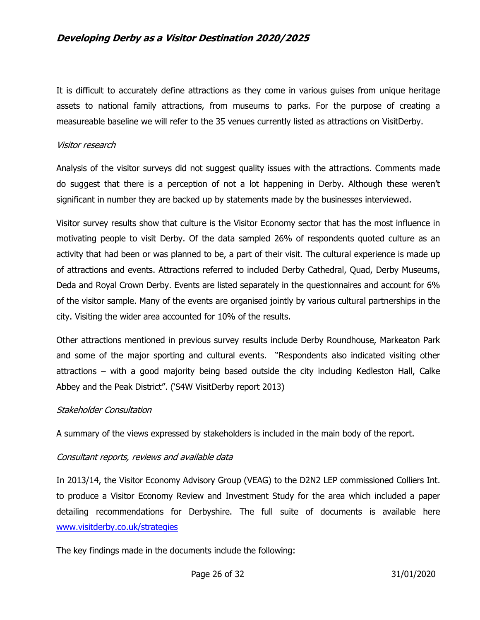It is difficult to accurately define attractions as they come in various guises from unique heritage assets to national family attractions, from museums to parks. For the purpose of creating a measureable baseline we will refer to the 35 venues currently listed as attractions on VisitDerby.

#### Visitor research

Analysis of the visitor surveys did not suggest quality issues with the attractions. Comments made do suggest that there is a perception of not a lot happening in Derby. Although these weren't significant in number they are backed up by statements made by the businesses interviewed.

Visitor survey results show that culture is the Visitor Economy sector that has the most influence in motivating people to visit Derby. Of the data sampled 26% of respondents quoted culture as an activity that had been or was planned to be, a part of their visit. The cultural experience is made up of attractions and events. Attractions referred to included Derby Cathedral, Quad, Derby Museums, Deda and Royal Crown Derby. Events are listed separately in the questionnaires and account for 6% of the visitor sample. Many of the events are organised jointly by various cultural partnerships in the city. Visiting the wider area accounted for 10% of the results.

Other attractions mentioned in previous survey results include Derby Roundhouse, Markeaton Park and some of the major sporting and cultural events. "Respondents also indicated visiting other attractions – with a good majority being based outside the city including Kedleston Hall, Calke Abbey and the Peak District". ('S4W VisitDerby report 2013)

#### Stakeholder Consultation

A summary of the views expressed by stakeholders is included in the main body of the report.

#### Consultant reports, reviews and available data

In 2013/14, the Visitor Economy Advisory Group (VEAG) to the D2N2 LEP commissioned Colliers Int. to produce a Visitor Economy Review and Investment Study for the area which included a paper detailing recommendations for Derbyshire. The full suite of documents is available here [www.visitderby.co.uk/strategies](http://www.visitderby.co.uk/strategies) 

The key findings made in the documents include the following: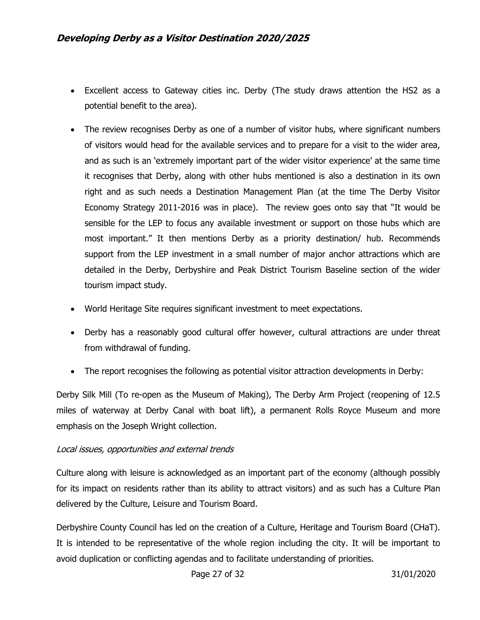- Excellent access to Gateway cities inc. Derby (The study draws attention the HS2 as a potential benefit to the area).
- The review recognises Derby as one of a number of visitor hubs, where significant numbers of visitors would head for the available services and to prepare for a visit to the wider area, and as such is an 'extremely important part of the wider visitor experience' at the same time it recognises that Derby, along with other hubs mentioned is also a destination in its own right and as such needs a Destination Management Plan (at the time The Derby Visitor Economy Strategy 2011-2016 was in place). The review goes onto say that "It would be sensible for the LEP to focus any available investment or support on those hubs which are most important." It then mentions Derby as a priority destination/ hub. Recommends support from the LEP investment in a small number of major anchor attractions which are detailed in the Derby, Derbyshire and Peak District Tourism Baseline section of the wider tourism impact study.
- World Heritage Site requires significant investment to meet expectations.
- Derby has a reasonably good cultural offer however, cultural attractions are under threat from withdrawal of funding.
- The report recognises the following as potential visitor attraction developments in Derby:

Derby Silk Mill (To re-open as the Museum of Making), The Derby Arm Project (reopening of 12.5 miles of waterway at Derby Canal with boat lift), a permanent Rolls Royce Museum and more emphasis on the Joseph Wright collection.

#### Local issues, opportunities and external trends

Culture along with leisure is acknowledged as an important part of the economy (although possibly for its impact on residents rather than its ability to attract visitors) and as such has a Culture Plan delivered by the Culture, Leisure and Tourism Board.

Derbyshire County Council has led on the creation of a Culture, Heritage and Tourism Board (CHaT). It is intended to be representative of the whole region including the city. It will be important to avoid duplication or conflicting agendas and to facilitate understanding of priorities.

Page 27 of 32 31/01/2020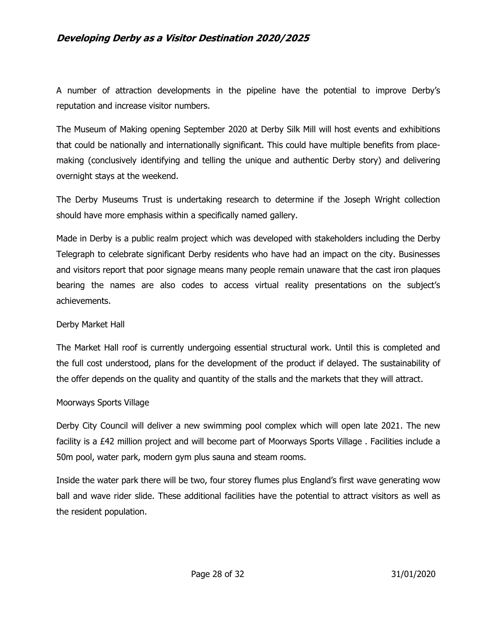A number of attraction developments in the pipeline have the potential to improve Derby's reputation and increase visitor numbers.

The Museum of Making opening September 2020 at Derby Silk Mill will host events and exhibitions that could be nationally and internationally significant. This could have multiple benefits from placemaking (conclusively identifying and telling the unique and authentic Derby story) and delivering overnight stays at the weekend.

The Derby Museums Trust is undertaking research to determine if the Joseph Wright collection should have more emphasis within a specifically named gallery.

Made in Derby is a public realm project which was developed with stakeholders including the Derby Telegraph to celebrate significant Derby residents who have had an impact on the city. Businesses and visitors report that poor signage means many people remain unaware that the cast iron plaques bearing the names are also codes to access virtual reality presentations on the subject's achievements.

#### Derby Market Hall

The Market Hall roof is currently undergoing essential structural work. Until this is completed and the full cost understood, plans for the development of the product if delayed. The sustainability of the offer depends on the quality and quantity of the stalls and the markets that they will attract.

#### Moorways Sports Village

Derby City Council will deliver a new swimming pool complex which will open late 2021. The new facility is a £42 million project and will become part of Moorways Sports Village . Facilities include a 50m pool, water park, modern gym plus sauna and steam rooms.

Inside the water park there will be two, four storey flumes plus England's first wave generating wow ball and wave rider slide. These additional facilities have the potential to attract visitors as well as the resident population.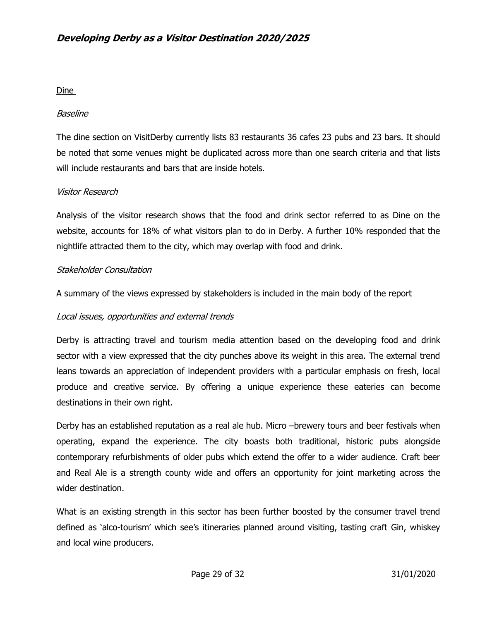#### Dine

#### Baseline

The dine section on VisitDerby currently lists 83 restaurants 36 cafes 23 pubs and 23 bars. It should be noted that some venues might be duplicated across more than one search criteria and that lists will include restaurants and bars that are inside hotels.

#### Visitor Research

Analysis of the visitor research shows that the food and drink sector referred to as Dine on the website, accounts for 18% of what visitors plan to do in Derby. A further 10% responded that the nightlife attracted them to the city, which may overlap with food and drink.

#### Stakeholder Consultation

A summary of the views expressed by stakeholders is included in the main body of the report

#### Local issues, opportunities and external trends

Derby is attracting travel and tourism media attention based on the developing food and drink sector with a view expressed that the city punches above its weight in this area. The external trend leans towards an appreciation of independent providers with a particular emphasis on fresh, local produce and creative service. By offering a unique experience these eateries can become destinations in their own right.

Derby has an established reputation as a real ale hub. Micro –brewery tours and beer festivals when operating, expand the experience. The city boasts both traditional, historic pubs alongside contemporary refurbishments of older pubs which extend the offer to a wider audience. Craft beer and Real Ale is a strength county wide and offers an opportunity for joint marketing across the wider destination.

What is an existing strength in this sector has been further boosted by the consumer travel trend defined as 'alco-tourism' which see's itineraries planned around visiting, tasting craft Gin, whiskey and local wine producers.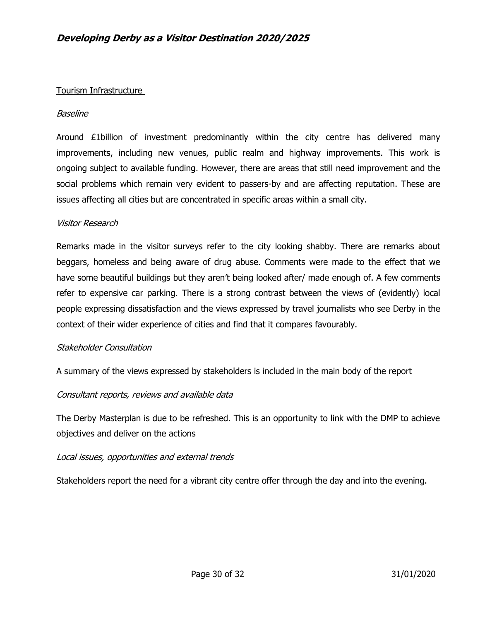#### Tourism Infrastructure

#### Baseline

Around £1billion of investment predominantly within the city centre has delivered many improvements, including new venues, public realm and highway improvements. This work is ongoing subject to available funding. However, there are areas that still need improvement and the social problems which remain very evident to passers-by and are affecting reputation. These are issues affecting all cities but are concentrated in specific areas within a small city.

#### Visitor Research

Remarks made in the visitor surveys refer to the city looking shabby. There are remarks about beggars, homeless and being aware of drug abuse. Comments were made to the effect that we have some beautiful buildings but they aren't being looked after/ made enough of. A few comments refer to expensive car parking. There is a strong contrast between the views of (evidently) local people expressing dissatisfaction and the views expressed by travel journalists who see Derby in the context of their wider experience of cities and find that it compares favourably.

#### Stakeholder Consultation

A summary of the views expressed by stakeholders is included in the main body of the report

#### Consultant reports, reviews and available data

The Derby Masterplan is due to be refreshed. This is an opportunity to link with the DMP to achieve objectives and deliver on the actions

#### Local issues, opportunities and external trends

Stakeholders report the need for a vibrant city centre offer through the day and into the evening.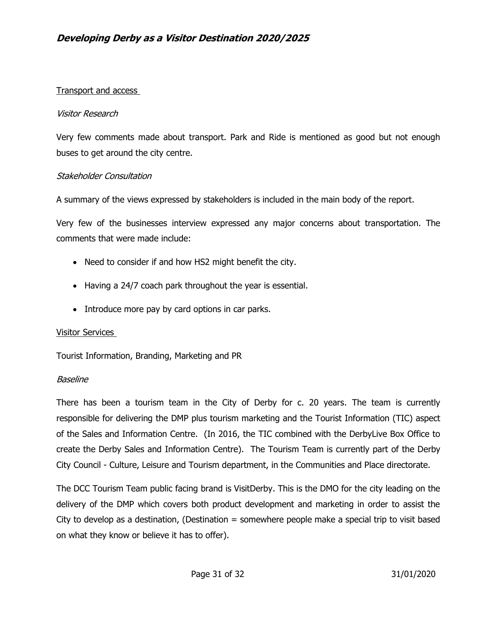#### Transport and access

#### Visitor Research

Very few comments made about transport. Park and Ride is mentioned as good but not enough buses to get around the city centre.

#### Stakeholder Consultation

A summary of the views expressed by stakeholders is included in the main body of the report.

Very few of the businesses interview expressed any major concerns about transportation. The comments that were made include:

- Need to consider if and how HS2 might benefit the city.
- Having a 24/7 coach park throughout the year is essential.
- Introduce more pay by card options in car parks.

#### Visitor Services

Tourist Information, Branding, Marketing and PR

#### Baseline

There has been a tourism team in the City of Derby for c. 20 years. The team is currently responsible for delivering the DMP plus tourism marketing and the Tourist Information (TIC) aspect of the Sales and Information Centre. (In 2016, the TIC combined with the DerbyLive Box Office to create the Derby Sales and Information Centre). The Tourism Team is currently part of the Derby City Council - Culture, Leisure and Tourism department, in the Communities and Place directorate.

The DCC Tourism Team public facing brand is VisitDerby. This is the DMO for the city leading on the delivery of the DMP which covers both product development and marketing in order to assist the City to develop as a destination, (Destination  $=$  somewhere people make a special trip to visit based on what they know or believe it has to offer).